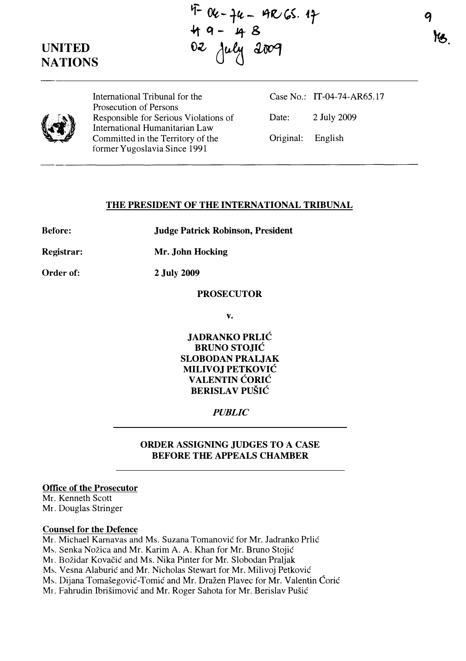# UNITED

 $9 - 96 - 46 - 966.47$ 49- 48 UNITED 02 July 2009 ------------------------------------

q **YB.** 



International Tribunal for the Prosecution of Persons Responsible for Serious Violations of International Humanitarian Law Committed in the Territory of the former Yugoslavia Since 1991

Case No.: IT-04-74-AR65.17 Date: 2 July 2009 Original: English

#### THE PRESIDENT OF THE INTERNATIONAL TRIBUNAL

Before: Judge Patrick Robinson, President

Registrar: Mr. John Hocking

Order of: 2 July 2009

#### PROSECUTOR

v.

JADRANKO PRLIC BRUNO STOJIC SLOBODAN PRALJAK MILIVOJ PETKOVIC VALENTIN CORIC BERISLAV PUŠIĆ

### PUBLIC

### ORDER ASSIGNING JUDGES TO A CASE BEFORE THE APPEALS CHAMBER

## Office of the Prosecutor

Mr. Kenneth Scott Mr. Douglas Stringer

#### Counsel for the Defence

Mr. Michael Kamavas and Ms. Suzana Tomanovic for Mr. Jadranko Prlic Ms. Senka Nožica and Mr. Karim A. A. Khan for Mr. Bruno Stojić Mr. Božidar Kovačić and Ms. Nika Pinter for Mr. Slobodan Praljak Ms. Vesna Alaburić and Mr. Nicholas Stewart for Mr. Milivoj Petković Ms. Dijana Tomašegović-Tomić and Mr. Dražen Plavec for Mr. Valentin Ćorić Mr. Fahrudin Ibrišimović and Mr. Roger Sahota for Mr. Berislav Pušić